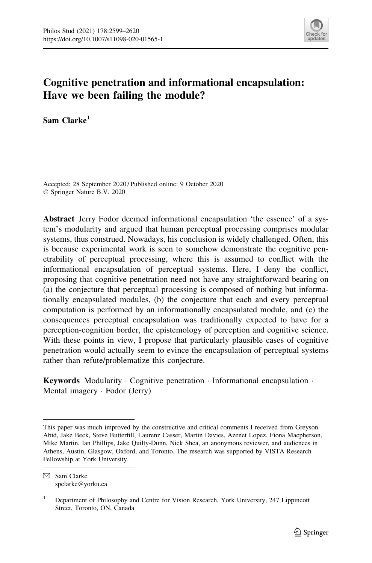

# Cognitive penetration and informational encapsulation: Have we been failing the module?

Sam Clarke<sup>1</sup>

Accepted: 28 September 2020 / Published online: 9 October 2020 © Springer Nature B.V. 2020

Abstract Jerry Fodor deemed informational encapsulation 'the essence' of a system's modularity and argued that human perceptual processing comprises modular systems, thus construed. Nowadays, his conclusion is widely challenged. Often, this is because experimental work is seen to somehow demonstrate the cognitive penetrability of perceptual processing, where this is assumed to conflict with the informational encapsulation of perceptual systems. Here, I deny the conflict, proposing that cognitive penetration need not have any straightforward bearing on (a) the conjecture that perceptual processing is composed of nothing but informationally encapsulated modules, (b) the conjecture that each and every perceptual computation is performed by an informationally encapsulated module, and (c) the consequences perceptual encapsulation was traditionally expected to have for a perception-cognition border, the epistemology of perception and cognitive science. With these points in view, I propose that particularly plausible cases of cognitive penetration would actually seem to evince the encapsulation of perceptual systems rather than refute/problematize this conjecture.

Keywords Modularity · Cognitive penetration · Informational encapsulation · Mental imagery - Fodor (Jerry)

This paper was much improved by the constructive and critical comments I received from Greyson Abid, Jake Beck, Steve Butterfill, Laurenz Casser, Martin Davies, Azenet Lopez, Fiona Macpherson, Mike Martin, Ian Phillips, Jake Quilty-Dunn, Nick Shea, an anonymous reviewer, and audiences in Athens, Austin, Glasgow, Oxford, and Toronto. The research was supported by VISTA Research Fellowship at York University.

 $\boxtimes$  Sam Clarke spclarke@yorku.ca

<sup>1</sup> Department of Philosophy and Centre for Vision Research, York University, 247 Lippincott Street, Toronto, ON, Canada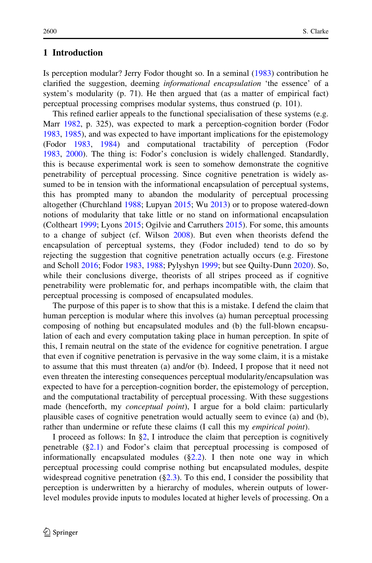# 1 Introduction

Is perception modular? Jerry Fodor thought so. In a seminal ([1983\)](#page-19-0) contribution he clarified the suggestion, deeming informational encapsulation 'the essence' of a system's modularity (p. 71). He then argued that (as a matter of empirical fact) perceptual processing comprises modular systems, thus construed (p. 101).

This refined earlier appeals to the functional specialisation of these systems (e.g. Marr [1982](#page-20-0), p. 325), was expected to mark a perception-cognition border (Fodor [1983,](#page-19-0) [1985](#page-19-0)), and was expected to have important implications for the epistemology (Fodor [1983](#page-19-0), [1984](#page-19-0)) and computational tractability of perception (Fodor [1983,](#page-19-0) [2000\)](#page-19-0). The thing is: Fodor's conclusion is widely challenged. Standardly, this is because experimental work is seen to somehow demonstrate the cognitive penetrability of perceptual processing. Since cognitive penetration is widely assumed to be in tension with the informational encapsulation of perceptual systems, this has prompted many to abandon the modularity of perceptual processing altogether (Churchland [1988;](#page-19-0) Lupyan [2015;](#page-20-0) Wu [2013\)](#page-21-0) or to propose watered-down notions of modularity that take little or no stand on informational encapsulation (Coltheart [1999](#page-19-0); Lyons [2015;](#page-20-0) Ogilvie and Carruthers [2015\)](#page-20-0). For some, this amounts to a change of subject (cf. Wilson [2008\)](#page-21-0). But even when theorists defend the encapsulation of perceptual systems, they (Fodor included) tend to do so by rejecting the suggestion that cognitive penetration actually occurs (e.g. Firestone and Scholl [2016](#page-19-0); Fodor [1983,](#page-19-0) [1988;](#page-19-0) Pylyshyn [1999;](#page-20-0) but see Quilty-Dunn [2020](#page-20-0)). So, while their conclusions diverge, theorists of all stripes proceed as if cognitive penetrability were problematic for, and perhaps incompatible with, the claim that perceptual processing is composed of encapsulated modules.

The purpose of this paper is to show that this is a mistake. I defend the claim that human perception is modular where this involves (a) human perceptual processing composing of nothing but encapsulated modules and (b) the full-blown encapsulation of each and every computation taking place in human perception. In spite of this, I remain neutral on the state of the evidence for cognitive penetration. I argue that even if cognitive penetration is pervasive in the way some claim, it is a mistake to assume that this must threaten (a) and/or (b). Indeed, I propose that it need not even threaten the interesting consequences perceptual modularity/encapsulation was expected to have for a perception-cognition border, the epistemology of perception, and the computational tractability of perceptual processing. With these suggestions made (henceforth, my *conceptual point*), I argue for a bold claim: particularly plausible cases of cognitive penetration would actually seem to evince (a) and (b), rather than undermine or refute these claims (I call this my *empirical point*).

I proceed as follows: In  $\S2$ , I introduce the claim that perception is cognitively penetrable (§[2.1](#page-2-0)) and Fodor's claim that perceptual processing is composed of informationally encapsulated modules  $(\S2.2)$  $(\S2.2)$  $(\S2.2)$ . I then note one way in which perceptual processing could comprise nothing but encapsulated modules, despite widespread cognitive penetration  $(\S2.3)$  $(\S2.3)$  $(\S2.3)$ . To this end, I consider the possibility that perception is underwritten by a hierarchy of modules, wherein outputs of lowerlevel modules provide inputs to modules located at higher levels of processing. On a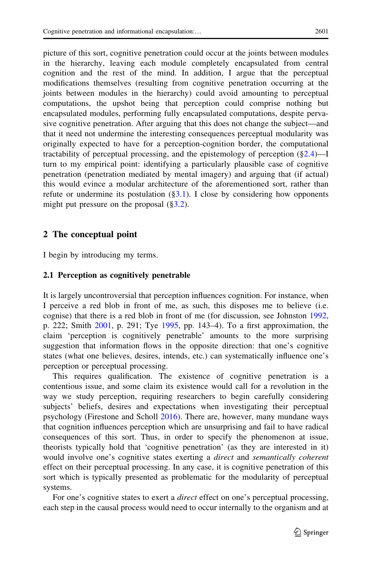<span id="page-2-0"></span>picture of this sort, cognitive penetration could occur at the joints between modules in the hierarchy, leaving each module completely encapsulated from central cognition and the rest of the mind. In addition, I argue that the perceptual modifications themselves (resulting from cognitive penetration occurring at the joints between modules in the hierarchy) could avoid amounting to perceptual computations, the upshot being that perception could comprise nothing but encapsulated modules, performing fully encapsulated computations, despite pervasive cognitive penetration. After arguing that this does not change the subject—and that it need not undermine the interesting consequences perceptual modularity was originally expected to have for a perception-cognition border, the computational tractability of perceptual processing, and the epistemology of perception ([§2.4\)](#page-9-0)—I turn to my empirical point: identifying a particularly plausible case of cognitive penetration (penetration mediated by mental imagery) and arguing that (if actual) this would evince a modular architecture of the aforementioned sort, rather than refute or undermine its postulation  $(\S3.1)$  $(\S3.1)$  $(\S3.1)$ . I close by considering how opponents might put pressure on the proposal  $(\S3.2)$ .

# 2 The conceptual point

I begin by introducing my terms.

#### 2.1 Perception as cognitively penetrable

It is largely uncontroversial that perception influences cognition. For instance, when I perceive a red blob in front of me, as such, this disposes me to believe (i.e. cognise) that there is a red blob in front of me (for discussion, see Johnston [1992,](#page-19-0) p. 222; Smith [2001,](#page-21-0) p. 291; Tye [1995,](#page-21-0) pp. 143–4). To a first approximation, the claim 'perception is cognitively penetrable' amounts to the more surprising suggestion that information flows in the opposite direction: that one's cognitive states (what one believes, desires, intends, etc.) can systematically influence one's perception or perceptual processing.

This requires qualification. The existence of cognitive penetration is a contentious issue, and some claim its existence would call for a revolution in the way we study perception, requiring researchers to begin carefully considering subjects' beliefs, desires and expectations when investigating their perceptual psychology (Firestone and Scholl [2016\)](#page-19-0). There are, however, many mundane ways that cognition influences perception which are unsurprising and fail to have radical consequences of this sort. Thus, in order to specify the phenomenon at issue, theorists typically hold that 'cognitive penetration' (as they are interested in it) would involve one's cognitive states exerting a *direct* and *semantically coherent* effect on their perceptual processing. In any case, it is cognitive penetration of this sort which is typically presented as problematic for the modularity of perceptual systems.

For one's cognitive states to exert a *direct* effect on one's perceptual processing, each step in the causal process would need to occur internally to the organism and at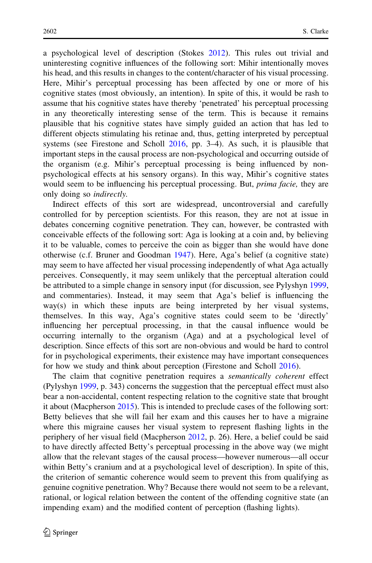a psychological level of description (Stokes [2012](#page-21-0)). This rules out trivial and uninteresting cognitive influences of the following sort: Mihir intentionally moves his head, and this results in changes to the content/character of his visual processing. Here, Mihir's perceptual processing has been affected by one or more of his cognitive states (most obviously, an intention). In spite of this, it would be rash to assume that his cognitive states have thereby 'penetrated' his perceptual processing in any theoretically interesting sense of the term. This is because it remains plausible that his cognitive states have simply guided an action that has led to different objects stimulating his retinae and, thus, getting interpreted by perceptual systems (see Firestone and Scholl [2016,](#page-19-0) pp. 3–4). As such, it is plausible that important steps in the causal process are non-psychological and occurring outside of the organism (e.g. Mihir's perceptual processing is being influenced by nonpsychological effects at his sensory organs). In this way, Mihir's cognitive states would seem to be influencing his perceptual processing. But, *prima facie*, they are only doing so indirectly.

Indirect effects of this sort are widespread, uncontroversial and carefully controlled for by perception scientists. For this reason, they are not at issue in debates concerning cognitive penetration. They can, however, be contrasted with conceivable effects of the following sort: Aga is looking at a coin and, by believing it to be valuable, comes to perceive the coin as bigger than she would have done otherwise (c.f. Bruner and Goodman [1947\)](#page-18-0). Here, Aga's belief (a cognitive state) may seem to have affected her visual processing independently of what Aga actually perceives. Consequently, it may seem unlikely that the perceptual alteration could be attributed to a simple change in sensory input (for discussion, see Pylyshyn [1999,](#page-20-0) and commentaries). Instead, it may seem that Aga's belief is influencing the way(s) in which these inputs are being interpreted by her visual systems, themselves. In this way, Aga's cognitive states could seem to be 'directly' influencing her perceptual processing, in that the causal influence would be occurring internally to the organism (Aga) and at a psychological level of description. Since effects of this sort are non-obvious and would be hard to control for in psychological experiments, their existence may have important consequences for how we study and think about perception (Firestone and Scholl [2016\)](#page-19-0).

The claim that cognitive penetration requires a *semantically coherent* effect (Pylyshyn [1999,](#page-20-0) p. 343) concerns the suggestion that the perceptual effect must also bear a non-accidental, content respecting relation to the cognitive state that brought it about (Macpherson [2015\)](#page-20-0). This is intended to preclude cases of the following sort: Betty believes that she will fail her exam and this causes her to have a migraine where this migraine causes her visual system to represent flashing lights in the periphery of her visual field (Macpherson [2012](#page-20-0), p. 26). Here, a belief could be said to have directly affected Betty's perceptual processing in the above way (we might allow that the relevant stages of the causal process—however numerous—all occur within Betty's cranium and at a psychological level of description). In spite of this, the criterion of semantic coherence would seem to prevent this from qualifying as genuine cognitive penetration. Why? Because there would not seem to be a relevant, rational, or logical relation between the content of the offending cognitive state (an impending exam) and the modified content of perception (flashing lights).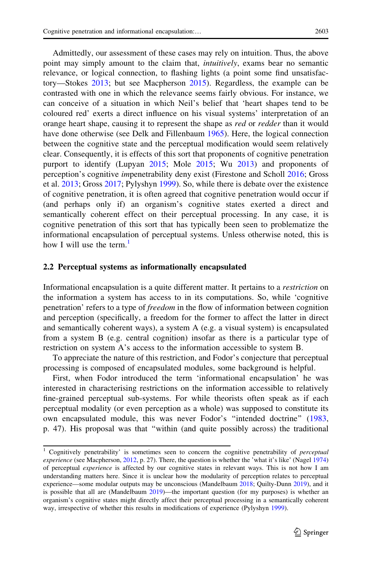<span id="page-4-0"></span>Admittedly, our assessment of these cases may rely on intuition. Thus, the above point may simply amount to the claim that, *intuitively*, exams bear no semantic relevance, or logical connection, to flashing lights (a point some find unsatisfactory—Stokes [2013](#page-21-0); but see Macpherson [2015\)](#page-20-0). Regardless, the example can be contrasted with one in which the relevance seems fairly obvious. For instance, we can conceive of a situation in which Neil's belief that 'heart shapes tend to be coloured red' exerts a direct influence on his visual systems' interpretation of an orange heart shape, causing it to represent the shape as *red* or *redder* than it would have done otherwise (see Delk and Fillenbaum [1965\)](#page-19-0). Here, the logical connection between the cognitive state and the perceptual modification would seem relatively clear. Consequently, it is effects of this sort that proponents of cognitive penetration purport to identify (Lupyan [2015](#page-20-0); Mole [2015;](#page-20-0) Wu [2013\)](#page-21-0) and proponents of perception's cognitive impenetrability deny exist (Firestone and Scholl [2016;](#page-19-0) Gross et al. [2013;](#page-19-0) Gross [2017](#page-19-0); Pylyshyn [1999](#page-20-0)). So, while there is debate over the existence of cognitive penetration, it is often agreed that cognitive penetration would occur if (and perhaps only if) an organism's cognitive states exerted a direct and semantically coherent effect on their perceptual processing. In any case, it is cognitive penetration of this sort that has typically been seen to problematize the informational encapsulation of perceptual systems. Unless otherwise noted, this is how I will use the term.<sup>1</sup>

#### 2.2 Perceptual systems as informationally encapsulated

Informational encapsulation is a quite different matter. It pertains to a restriction on the information a system has access to in its computations. So, while 'cognitive penetration' refers to a type of freedom in the flow of information between cognition and perception (specifically, a freedom for the former to affect the latter in direct and semantically coherent ways), a system A (e.g. a visual system) is encapsulated from a system B (e.g. central cognition) insofar as there is a particular type of restriction on system A's access to the information accessible to system B.

To appreciate the nature of this restriction, and Fodor's conjecture that perceptual processing is composed of encapsulated modules, some background is helpful.

First, when Fodor introduced the term 'informational encapsulation' he was interested in characterising restrictions on the information accessible to relatively fine-grained perceptual sub-systems. For while theorists often speak as if each perceptual modality (or even perception as a whole) was supposed to constitute its own encapsulated module, this was never Fodor's ''intended doctrine'' ([1983,](#page-19-0) p. 47). His proposal was that ''within (and quite possibly across) the traditional

<sup>&</sup>lt;sup>1</sup> Cognitively penetrability' is sometimes seen to concern the cognitive penetrability of *perceptual* experience (see Macpherson, [2012](#page-20-0), p. 27). There, the question is whether the 'what it's like' (Nagel [1974\)](#page-20-0) of perceptual *experience* is affected by our cognitive states in relevant ways. This is not how I am understanding matters here. Since it is unclear how the modularity of perception relates to perceptual experience—some modular outputs may be unconscious (Mandelbaum [2018](#page-20-0); Quilty-Dunn [2019\)](#page-20-0), and it is possible that all are (Mandelbaum [2019](#page-20-0))—the important question (for my purposes) is whether an organism's cognitive states might directly affect their perceptual processing in a semantically coherent way, irrespective of whether this results in modifications of experience (Pylyshyn [1999](#page-20-0)).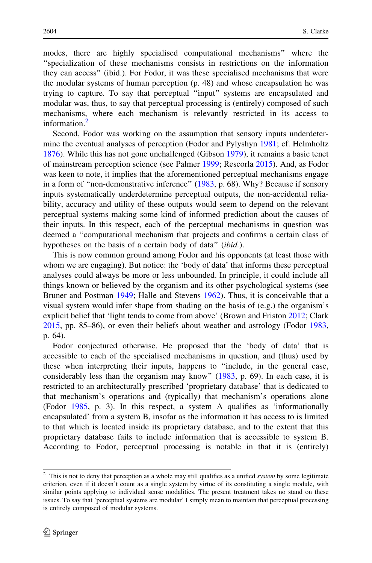modes, there are highly specialised computational mechanisms'' where the ''specialization of these mechanisms consists in restrictions on the information they can access'' (ibid.). For Fodor, it was these specialised mechanisms that were the modular systems of human perception (p. 48) and whose encapsulation he was trying to capture. To say that perceptual ''input'' systems are encapsulated and modular was, thus, to say that perceptual processing is (entirely) composed of such mechanisms, where each mechanism is relevantly restricted in its access to information.<sup>2</sup>

Second, Fodor was working on the assumption that sensory inputs underdetermine the eventual analyses of perception (Fodor and Pylyshyn [1981](#page-19-0); cf. Helmholtz [1876\)](#page-19-0). While this has not gone unchallenged (Gibson [1979\)](#page-19-0), it remains a basic tenet of mainstream perception science (see Palmer [1999](#page-20-0); Rescorla [2015](#page-20-0)). And, as Fodor was keen to note, it implies that the aforementioned perceptual mechanisms engage in a form of ''non-demonstrative inference'' [\(1983](#page-19-0), p. 68). Why? Because if sensory inputs systematically underdetermine perceptual outputs, the non-accidental reliability, accuracy and utility of these outputs would seem to depend on the relevant perceptual systems making some kind of informed prediction about the causes of their inputs. In this respect, each of the perceptual mechanisms in question was deemed a ''computational mechanism that projects and confirms a certain class of hypotheses on the basis of a certain body of data" (ibid.).

This is now common ground among Fodor and his opponents (at least those with whom we are engaging). But notice: the 'body of data' that informs these perceptual analyses could always be more or less unbounded. In principle, it could include all things known or believed by the organism and its other psychological systems (see Bruner and Postman [1949](#page-19-0); Halle and Stevens [1962\)](#page-19-0). Thus, it is conceivable that a visual system would infer shape from shading on the basis of (e.g.) the organism's explicit belief that 'light tends to come from above' (Brown and Friston [2012;](#page-18-0) Clark [2015,](#page-19-0) pp. 85–86), or even their beliefs about weather and astrology (Fodor [1983,](#page-19-0) p. 64).

Fodor conjectured otherwise. He proposed that the 'body of data' that is accessible to each of the specialised mechanisms in question, and (thus) used by these when interpreting their inputs, happens to ''include, in the general case, considerably less than the organism may know" ([1983,](#page-19-0) p. 69). In each case, it is restricted to an architecturally prescribed 'proprietary database' that is dedicated to that mechanism's operations and (typically) that mechanism's operations alone (Fodor [1985,](#page-19-0) p. 3). In this respect, a system A qualifies as 'informationally encapsulated' from a system B, insofar as the information it has access to is limited to that which is located inside its proprietary database, and to the extent that this proprietary database fails to include information that is accessible to system B. According to Fodor, perceptual processing is notable in that it is (entirely)

 $2$  This is not to deny that perception as a whole may still qualifies as a unified system by some legitimate criterion, even if it doesn't count as a single system by virtue of its constituting a single module, with similar points applying to individual sense modalities. The present treatment takes no stand on these issues. To say that 'perceptual systems are modular' I simply mean to maintain that perceptual processing is entirely composed of modular systems.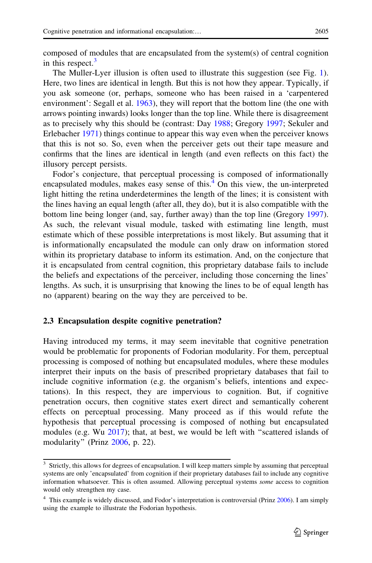<span id="page-6-0"></span>composed of modules that are encapsulated from the system(s) of central cognition in this respect. $3$ 

The Muller-Lyer illusion is often used to illustrate this suggestion (see Fig. [1\)](#page-7-0). Here, two lines are identical in length. But this is not how they appear. Typically, if you ask someone (or, perhaps, someone who has been raised in a 'carpentered environment': Segall et al. [1963\)](#page-20-0), they will report that the bottom line (the one with arrows pointing inwards) looks longer than the top line. While there is disagreement as to precisely why this should be (contrast: Day [1988](#page-19-0); Gregory [1997](#page-19-0); Sekuler and Erlebacher [1971\)](#page-20-0) things continue to appear this way even when the perceiver knows that this is not so. So, even when the perceiver gets out their tape measure and confirms that the lines are identical in length (and even reflects on this fact) the illusory percept persists.

Fodor's conjecture, that perceptual processing is composed of informationally encapsulated modules, makes easy sense of this. $4^{\circ}$  On this view, the un-interpreted light hitting the retina underdetermines the length of the lines; it is consistent with the lines having an equal length (after all, they do), but it is also compatible with the bottom line being longer (and, say, further away) than the top line (Gregory [1997\)](#page-19-0). As such, the relevant visual module, tasked with estimating line length, must estimate which of these possible interpretations is most likely. But assuming that it is informationally encapsulated the module can only draw on information stored within its proprietary database to inform its estimation. And, on the conjecture that it is encapsulated from central cognition, this proprietary database fails to include the beliefs and expectations of the perceiver, including those concerning the lines' lengths. As such, it is unsurprising that knowing the lines to be of equal length has no (apparent) bearing on the way they are perceived to be.

#### 2.3 Encapsulation despite cognitive penetration?

Having introduced my terms, it may seem inevitable that cognitive penetration would be problematic for proponents of Fodorian modularity. For them, perceptual processing is composed of nothing but encapsulated modules, where these modules interpret their inputs on the basis of prescribed proprietary databases that fail to include cognitive information (e.g. the organism's beliefs, intentions and expectations). In this respect, they are impervious to cognition. But, if cognitive penetration occurs, then cognitive states exert direct and semantically coherent effects on perceptual processing. Many proceed as if this would refute the hypothesis that perceptual processing is composed of nothing but encapsulated modules (e.g. Wu [2017](#page-21-0)); that, at best, we would be left with ''scattered islands of modularity'' (Prinz [2006,](#page-20-0) p. 22).

<sup>&</sup>lt;sup>3</sup> Strictly, this allows for degrees of encapsulation. I will keep matters simple by assuming that perceptual systems are only 'encapsulated' from cognition if their proprietary databases fail to include any cognitive information whatsoever. This is often assumed. Allowing perceptual systems some access to cognition would only strengthen my case.

<sup>&</sup>lt;sup>4</sup> This example is widely discussed, and Fodor's interpretation is controversial (Prinz [2006](#page-20-0)). I am simply using the example to illustrate the Fodorian hypothesis.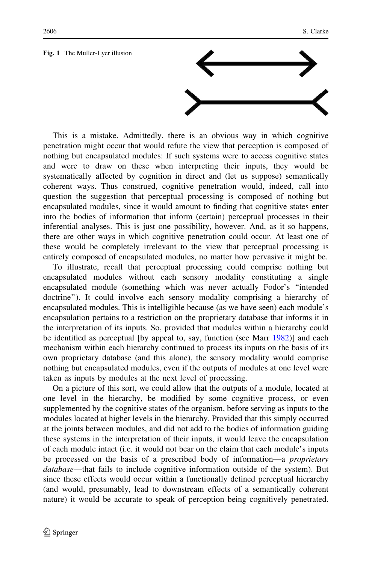#### <span id="page-7-0"></span>Fig. 1 The Muller-Lyer illusion



This is a mistake. Admittedly, there is an obvious way in which cognitive penetration might occur that would refute the view that perception is composed of nothing but encapsulated modules: If such systems were to access cognitive states and were to draw on these when interpreting their inputs, they would be systematically affected by cognition in direct and (let us suppose) semantically coherent ways. Thus construed, cognitive penetration would, indeed, call into question the suggestion that perceptual processing is composed of nothing but encapsulated modules, since it would amount to finding that cognitive states enter into the bodies of information that inform (certain) perceptual processes in their inferential analyses. This is just one possibility, however. And, as it so happens, there are other ways in which cognitive penetration could occur. At least one of these would be completely irrelevant to the view that perceptual processing is entirely composed of encapsulated modules, no matter how pervasive it might be.

To illustrate, recall that perceptual processing could comprise nothing but encapsulated modules without each sensory modality constituting a single encapsulated module (something which was never actually Fodor's ''intended doctrine''). It could involve each sensory modality comprising a hierarchy of encapsulated modules. This is intelligible because (as we have seen) each module's encapsulation pertains to a restriction on the proprietary database that informs it in the interpretation of its inputs. So, provided that modules within a hierarchy could be identified as perceptual [by appeal to, say, function (see Marr [1982\)](#page-20-0)] and each mechanism within each hierarchy continued to process its inputs on the basis of its own proprietary database (and this alone), the sensory modality would comprise nothing but encapsulated modules, even if the outputs of modules at one level were taken as inputs by modules at the next level of processing.

On a picture of this sort, we could allow that the outputs of a module, located at one level in the hierarchy, be modified by some cognitive process, or even supplemented by the cognitive states of the organism, before serving as inputs to the modules located at higher levels in the hierarchy. Provided that this simply occurred at the joints between modules, and did not add to the bodies of information guiding these systems in the interpretation of their inputs, it would leave the encapsulation of each module intact (i.e. it would not bear on the claim that each module's inputs be processed on the basis of a prescribed body of information—a proprietary database—that fails to include cognitive information outside of the system). But since these effects would occur within a functionally defined perceptual hierarchy (and would, presumably, lead to downstream effects of a semantically coherent nature) it would be accurate to speak of perception being cognitively penetrated.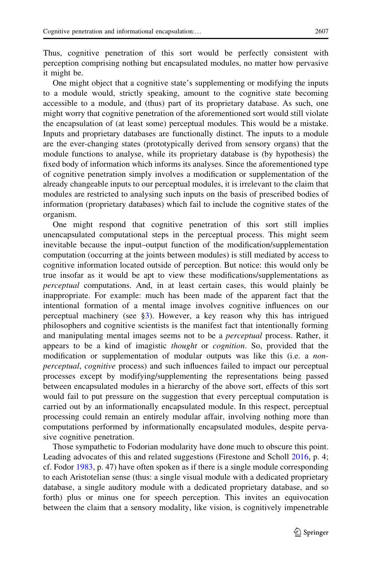Thus, cognitive penetration of this sort would be perfectly consistent with perception comprising nothing but encapsulated modules, no matter how pervasive it might be.

One might object that a cognitive state's supplementing or modifying the inputs to a module would, strictly speaking, amount to the cognitive state becoming accessible to a module, and (thus) part of its proprietary database. As such, one might worry that cognitive penetration of the aforementioned sort would still violate the encapsulation of (at least some) perceptual modules. This would be a mistake. Inputs and proprietary databases are functionally distinct. The inputs to a module are the ever-changing states (prototypically derived from sensory organs) that the module functions to analyse, while its proprietary database is (by hypothesis) the fixed body of information which informs its analyses. Since the aforementioned type of cognitive penetration simply involves a modification or supplementation of the already changeable inputs to our perceptual modules, it is irrelevant to the claim that modules are restricted to analysing such inputs on the basis of prescribed bodies of information (proprietary databases) which fail to include the cognitive states of the organism.

One might respond that cognitive penetration of this sort still implies unencapsulated computational steps in the perceptual process. This might seem inevitable because the input–output function of the modification/supplementation computation (occurring at the joints between modules) is still mediated by access to cognitive information located outside of perception. But notice: this would only be true insofar as it would be apt to view these modifications/supplementations as perceptual computations. And, in at least certain cases, this would plainly be inappropriate. For example: much has been made of the apparent fact that the intentional formation of a mental image involves cognitive influences on our perceptual machinery (see  $\S3$ ). However, a key reason why this has intrigued philosophers and cognitive scientists is the manifest fact that intentionally forming and manipulating mental images seems not to be a perceptual process. Rather, it appears to be a kind of imagistic thought or cognition. So, provided that the modification or supplementation of modular outputs was like this (i.e. a *non*perceptual, cognitive process) and such influences failed to impact our perceptual processes except by modifying/supplementing the representations being passed between encapsulated modules in a hierarchy of the above sort, effects of this sort would fail to put pressure on the suggestion that every perceptual computation is carried out by an informationally encapsulated module. In this respect, perceptual processing could remain an entirely modular affair, involving nothing more than computations performed by informationally encapsulated modules, despite pervasive cognitive penetration.

Those sympathetic to Fodorian modularity have done much to obscure this point. Leading advocates of this and related suggestions (Firestone and Scholl [2016,](#page-19-0) p. 4; cf. Fodor [1983,](#page-19-0) p. 47) have often spoken as if there is a single module corresponding to each Aristotelian sense (thus: a single visual module with a dedicated proprietary database, a single auditory module with a dedicated proprietary database, and so forth) plus or minus one for speech perception. This invites an equivocation between the claim that a sensory modality, like vision, is cognitively impenetrable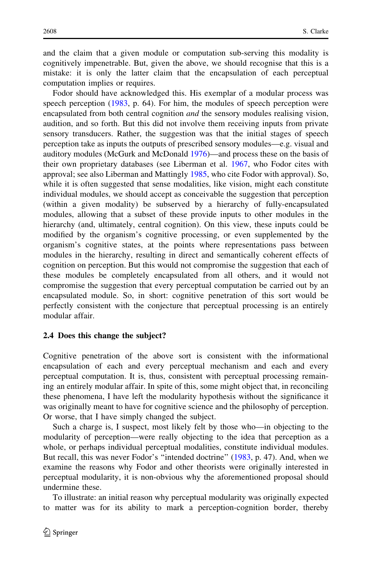<span id="page-9-0"></span>and the claim that a given module or computation sub-serving this modality is cognitively impenetrable. But, given the above, we should recognise that this is a mistake: it is only the latter claim that the encapsulation of each perceptual computation implies or requires.

Fodor should have acknowledged this. His exemplar of a modular process was speech perception [\(1983](#page-19-0), p. 64). For him, the modules of speech perception were encapsulated from both central cognition *and* the sensory modules realising vision, audition, and so forth. But this did not involve them receiving inputs from private sensory transducers. Rather, the suggestion was that the initial stages of speech perception take as inputs the outputs of prescribed sensory modules—e.g. visual and auditory modules (McGurk and McDonald [1976\)](#page-20-0)—and process these on the basis of their own proprietary databases (see Liberman et al. [1967,](#page-19-0) who Fodor cites with approval; see also Liberman and Mattingly [1985,](#page-19-0) who cite Fodor with approval). So, while it is often suggested that sense modalities, like vision, might each constitute individual modules, we should accept as conceivable the suggestion that perception (within a given modality) be subserved by a hierarchy of fully-encapsulated modules, allowing that a subset of these provide inputs to other modules in the hierarchy (and, ultimately, central cognition). On this view, these inputs could be modified by the organism's cognitive processing, or even supplemented by the organism's cognitive states, at the points where representations pass between modules in the hierarchy, resulting in direct and semantically coherent effects of cognition on perception. But this would not compromise the suggestion that each of these modules be completely encapsulated from all others, and it would not compromise the suggestion that every perceptual computation be carried out by an encapsulated module. So, in short: cognitive penetration of this sort would be perfectly consistent with the conjecture that perceptual processing is an entirely modular affair.

## 2.4 Does this change the subject?

Cognitive penetration of the above sort is consistent with the informational encapsulation of each and every perceptual mechanism and each and every perceptual computation. It is, thus, consistent with perceptual processing remaining an entirely modular affair. In spite of this, some might object that, in reconciling these phenomena, I have left the modularity hypothesis without the significance it was originally meant to have for cognitive science and the philosophy of perception. Or worse, that I have simply changed the subject.

Such a charge is, I suspect, most likely felt by those who—in objecting to the modularity of perception—were really objecting to the idea that perception as a whole, or perhaps individual perceptual modalities, constitute individual modules. But recall, this was never Fodor's ''intended doctrine'' [\(1983](#page-19-0), p. 47). And, when we examine the reasons why Fodor and other theorists were originally interested in perceptual modularity, it is non-obvious why the aforementioned proposal should undermine these.

To illustrate: an initial reason why perceptual modularity was originally expected to matter was for its ability to mark a perception-cognition border, thereby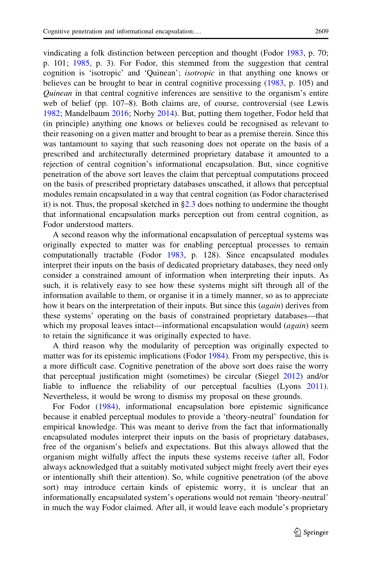vindicating a folk distinction between perception and thought (Fodor [1983,](#page-19-0) p. 70; p. 101; [1985](#page-19-0), p. 3). For Fodor, this stemmed from the suggestion that central cognition is 'isotropic' and 'Quinean'; isotropic in that anything one knows or believes can be brought to bear in central cognitive processing ([1983,](#page-19-0) p. 105) and Quinean in that central cognitive inferences are sensitive to the organism's entire web of belief (pp. 107–8). Both claims are, of course, controversial (see Lewis [1982;](#page-19-0) Mandelbaum [2016](#page-20-0); Norby [2014](#page-20-0)). But, putting them together, Fodor held that (in principle) anything one knows or believes could be recognised as relevant to their reasoning on a given matter and brought to bear as a premise therein. Since this was tantamount to saying that such reasoning does not operate on the basis of a prescribed and architecturally determined proprietary database it amounted to a rejection of central cognition's informational encapsulation. But, since cognitive penetration of the above sort leaves the claim that perceptual computations proceed on the basis of prescribed proprietary databases unscathed, it allows that perceptual modules remain encapsulated in a way that central cognition (as Fodor characterised it) is not. Thus, the proposal sketched in  $\S 2.3$  $\S 2.3$  does nothing to undermine the thought that informational encapsulation marks perception out from central cognition, as Fodor understood matters.

A second reason why the informational encapsulation of perceptual systems was originally expected to matter was for enabling perceptual processes to remain computationally tractable (Fodor [1983](#page-19-0), p. 128). Since encapsulated modules interpret their inputs on the basis of dedicated proprietary databases, they need only consider a constrained amount of information when interpreting their inputs. As such, it is relatively easy to see how these systems might sift through all of the information available to them, or organise it in a timely manner, so as to appreciate how it bears on the interpretation of their inputs. But since this (*again*) derives from these systems' operating on the basis of constrained proprietary databases—that which my proposal leaves intact—informational encapsulation would (again) seem to retain the significance it was originally expected to have.

A third reason why the modularity of perception was originally expected to matter was for its epistemic implications (Fodor [1984](#page-19-0)). From my perspective, this is a more difficult case. Cognitive penetration of the above sort does raise the worry that perceptual justification might (sometimes) be circular (Siegel [2012\)](#page-21-0) and/or liable to influence the reliability of our perceptual faculties (Lyons [2011\)](#page-20-0). Nevertheless, it would be wrong to dismiss my proposal on these grounds.

For Fodor [\(1984](#page-19-0)), informational encapsulation bore epistemic significance because it enabled perceptual modules to provide a 'theory-neutral' foundation for empirical knowledge. This was meant to derive from the fact that informationally encapsulated modules interpret their inputs on the basis of proprietary databases, free of the organism's beliefs and expectations. But this always allowed that the organism might wilfully affect the inputs these systems receive (after all, Fodor always acknowledged that a suitably motivated subject might freely avert their eyes or intentionally shift their attention). So, while cognitive penetration (of the above sort) may introduce certain kinds of epistemic worry, it is unclear that an informationally encapsulated system's operations would not remain 'theory-neutral' in much the way Fodor claimed. After all, it would leave each module's proprietary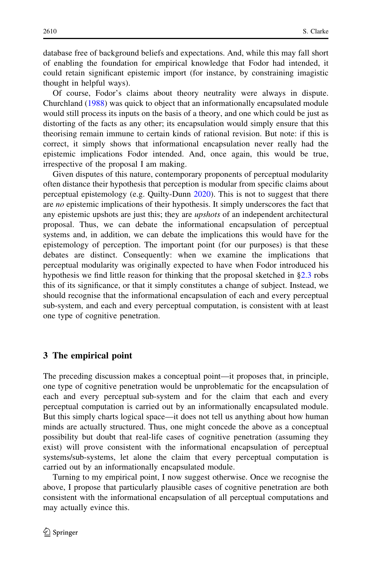<span id="page-11-0"></span>database free of background beliefs and expectations. And, while this may fall short of enabling the foundation for empirical knowledge that Fodor had intended, it could retain significant epistemic import (for instance, by constraining imagistic thought in helpful ways).

Of course, Fodor's claims about theory neutrality were always in dispute. Churchland ([1988\)](#page-19-0) was quick to object that an informationally encapsulated module would still process its inputs on the basis of a theory, and one which could be just as distorting of the facts as any other; its encapsulation would simply ensure that this theorising remain immune to certain kinds of rational revision. But note: if this is correct, it simply shows that informational encapsulation never really had the epistemic implications Fodor intended. And, once again, this would be true, irrespective of the proposal I am making.

Given disputes of this nature, contemporary proponents of perceptual modularity often distance their hypothesis that perception is modular from specific claims about perceptual epistemology (e.g. Quilty-Dunn [2020\)](#page-20-0). This is not to suggest that there are no epistemic implications of their hypothesis. It simply underscores the fact that any epistemic upshots are just this; they are *upshots* of an independent architectural proposal. Thus, we can debate the informational encapsulation of perceptual systems and, in addition, we can debate the implications this would have for the epistemology of perception. The important point (for our purposes) is that these debates are distinct. Consequently: when we examine the implications that perceptual modularity was originally expected to have when Fodor introduced his hypothesis we find little reason for thinking that the proposal sketched in §[2.3](#page-6-0) robs this of its significance, or that it simply constitutes a change of subject. Instead, we should recognise that the informational encapsulation of each and every perceptual sub-system, and each and every perceptual computation, is consistent with at least one type of cognitive penetration.

# 3 The empirical point

The preceding discussion makes a conceptual point—it proposes that, in principle, one type of cognitive penetration would be unproblematic for the encapsulation of each and every perceptual sub-system and for the claim that each and every perceptual computation is carried out by an informationally encapsulated module. But this simply charts logical space—it does not tell us anything about how human minds are actually structured. Thus, one might concede the above as a conceptual possibility but doubt that real-life cases of cognitive penetration (assuming they exist) will prove consistent with the informational encapsulation of perceptual systems/sub-systems, let alone the claim that every perceptual computation is carried out by an informationally encapsulated module.

Turning to my empirical point, I now suggest otherwise. Once we recognise the above, I propose that particularly plausible cases of cognitive penetration are both consistent with the informational encapsulation of all perceptual computations and may actually evince this.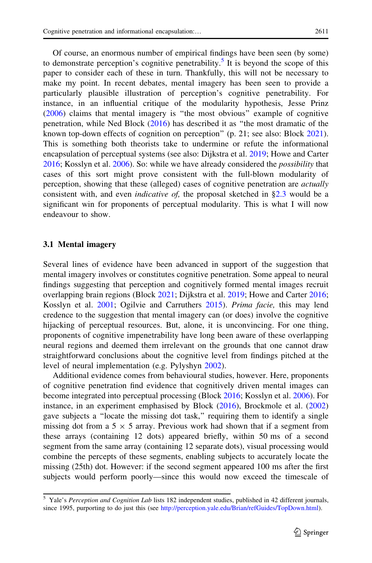<span id="page-12-0"></span>Of course, an enormous number of empirical findings have been seen (by some) to demonstrate perception's cognitive penetrability.<sup>5</sup> It is beyond the scope of this paper to consider each of these in turn. Thankfully, this will not be necessary to make my point. In recent debates, mental imagery has been seen to provide a particularly plausible illustration of perception's cognitive penetrability. For instance, in an influential critique of the modularity hypothesis, Jesse Prinz [\(2006](#page-20-0)) claims that mental imagery is ''the most obvious'' example of cognitive penetration, while Ned Block  $(2016)$  $(2016)$  has described it as "the most dramatic of the known top-down effects of cognition on perception'' (p. 21; see also: Block [2021\)](#page-18-0). This is something both theorists take to undermine or refute the informational encapsulation of perceptual systems (see also: Dijkstra et al. [2019;](#page-19-0) Howe and Carter [2016;](#page-19-0) Kosslyn et al. [2006](#page-19-0)). So: while we have already considered the possibility that cases of this sort might prove consistent with the full-blown modularity of perception, showing that these (alleged) cases of cognitive penetration are actually consistent with, and even *indicative of*, the proposal sketched in §[2.3](#page-6-0) would be a significant win for proponents of perceptual modularity. This is what I will now endeavour to show.

#### 3.1 Mental imagery

Several lines of evidence have been advanced in support of the suggestion that mental imagery involves or constitutes cognitive penetration. Some appeal to neural findings suggesting that perception and cognitively formed mental images recruit overlapping brain regions (Block [2021;](#page-18-0) Dijkstra et al. [2019](#page-19-0); Howe and Carter [2016;](#page-19-0) Kosslyn et al. [2001;](#page-19-0) Ogilvie and Carruthers [2015](#page-20-0)). Prima facie, this may lend credence to the suggestion that mental imagery can (or does) involve the cognitive hijacking of perceptual resources. But, alone, it is unconvincing. For one thing, proponents of cognitive impenetrability have long been aware of these overlapping neural regions and deemed them irrelevant on the grounds that one cannot draw straightforward conclusions about the cognitive level from findings pitched at the level of neural implementation (e.g. Pylyshyn [2002\)](#page-20-0).

Additional evidence comes from behavioural studies, however. Here, proponents of cognitive penetration find evidence that cognitively driven mental images can become integrated into perceptual processing (Block [2016](#page-18-0); Kosslyn et al. [2006](#page-19-0)). For instance, in an experiment emphasised by Block [\(2016](#page-18-0)), Brockmole et al. [\(2002](#page-18-0)) gave subjects a ''locate the missing dot task,'' requiring them to identify a single missing dot from a  $5 \times 5$  array. Previous work had shown that if a segment from these arrays (containing 12 dots) appeared briefly, within 50 ms of a second segment from the same array (containing 12 separate dots), visual processing would combine the percepts of these segments, enabling subjects to accurately locate the missing (25th) dot. However: if the second segment appeared 100 ms after the first subjects would perform poorly—since this would now exceed the timescale of

<sup>&</sup>lt;sup>5</sup> Yale's Perception and Cognition Lab lists 182 independent studies, published in 42 different journals, since 1995, purporting to do just this (see <http://perception.yale.edu/Brian/refGuides/TopDown.html>).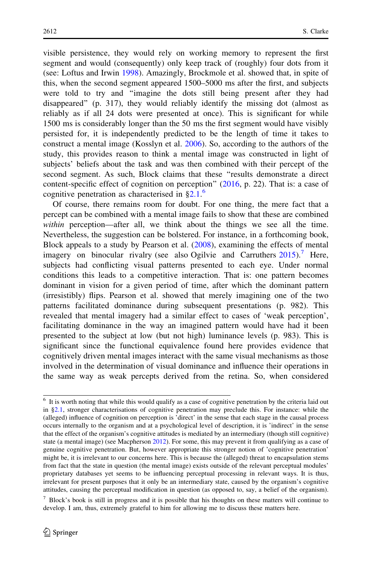visible persistence, they would rely on working memory to represent the first segment and would (consequently) only keep track of (roughly) four dots from it (see: Loftus and Irwin [1998](#page-20-0)). Amazingly, Brockmole et al. showed that, in spite of this, when the second segment appeared 1500–5000 ms after the first, and subjects were told to try and ''imagine the dots still being present after they had disappeared'' (p. 317), they would reliably identify the missing dot (almost as reliably as if all 24 dots were presented at once). This is significant for while 1500 ms is considerably longer than the 50 ms the first segment would have visibly persisted for, it is independently predicted to be the length of time it takes to construct a mental image (Kosslyn et al. [2006\)](#page-19-0). So, according to the authors of the study, this provides reason to think a mental image was constructed in light of subjects' beliefs about the task and was then combined with their percept of the second segment. As such, Block claims that these ''results demonstrate a direct content-specific effect of cognition on perception'' [\(2016](#page-18-0), p. 22). That is: a case of cognitive penetration as characterised in  $\S 2.1$ .

Of course, there remains room for doubt. For one thing, the mere fact that a percept can be combined with a mental image fails to show that these are combined within perception—after all, we think about the things we see all the time. Nevertheless, the suggestion can be bolstered. For instance, in a forthcoming book, Block appeals to a study by Pearson et al. ([2008\)](#page-20-0), examining the effects of mental imagery on binocular rivalry (see also Ogilvie and Carruthers  $2015$ ).<sup>7</sup> Here, subjects had conflicting visual patterns presented to each eye. Under normal conditions this leads to a competitive interaction. That is: one pattern becomes dominant in vision for a given period of time, after which the dominant pattern (irresistibly) flips. Pearson et al. showed that merely imagining one of the two patterns facilitated dominance during subsequent presentations (p. 982). This revealed that mental imagery had a similar effect to cases of 'weak perception', facilitating dominance in the way an imagined pattern would have had it been presented to the subject at low (but not high) luminance levels (p. 983). This is significant since the functional equivalence found here provides evidence that cognitively driven mental images interact with the same visual mechanisms as those involved in the determination of visual dominance and influence their operations in the same way as weak percepts derived from the retina. So, when considered

<sup>&</sup>lt;sup>6</sup> It is worth noting that while this would qualify as a case of cognitive penetration by the criteria laid out in [§2.1](#page-2-0), stronger characterisations of cognitive penetration may preclude this. For instance: while the (alleged) influence of cognition on perception is 'direct' in the sense that each stage in the causal process occurs internally to the organism and at a psychological level of description, it is 'indirect' in the sense that the effect of the organism's cognitive attitudes is mediated by an intermediary (though still cognitive) state (a mental image) (see Macpherson [2012](#page-20-0)). For some, this may prevent it from qualifying as a case of genuine cognitive penetration. But, however appropriate this stronger notion of 'cognitive penetration' might be, it is irrelevant to our concerns here. This is because the (alleged) threat to encapsulation stems from fact that the state in question (the mental image) exists outside of the relevant perceptual modules' proprietary databases yet seems to be influencing perceptual processing in relevant ways. It is thus, irrelevant for present purposes that it only be an intermediary state, caused by the organism's cognitive attitudes, causing the perceptual modification in question (as opposed to, say, a belief of the organism).

<sup>7</sup> Block's book is still in progress and it is possible that his thoughts on these matters will continue to develop. I am, thus, extremely grateful to him for allowing me to discuss these matters here.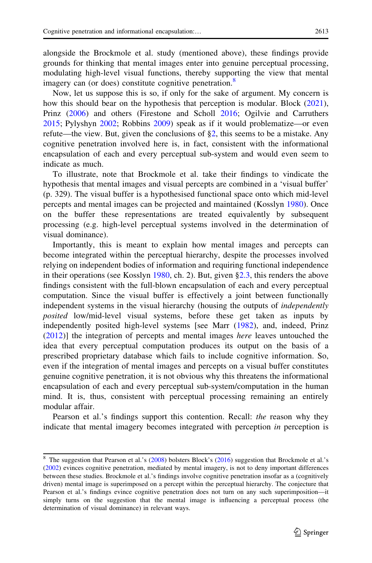alongside the Brockmole et al. study (mentioned above), these findings provide grounds for thinking that mental images enter into genuine perceptual processing, modulating high-level visual functions, thereby supporting the view that mental imagery can (or does) constitute cognitive penetration.<sup>8</sup>

Now, let us suppose this is so, if only for the sake of argument. My concern is how this should bear on the hypothesis that perception is modular. Block ([2021\)](#page-18-0), Prinz ([2006](#page-20-0)) and others (Firestone and Scholl [2016;](#page-19-0) Ogilvie and Carruthers [2015;](#page-20-0) Pylyshyn [2002;](#page-20-0) Robbins [2009](#page-20-0)) speak as if it would problematize—or even refute—the view. But, given the conclusions of  $\S2$ , this seems to be a mistake. Any cognitive penetration involved here is, in fact, consistent with the informational encapsulation of each and every perceptual sub-system and would even seem to indicate as much.

To illustrate, note that Brockmole et al. take their findings to vindicate the hypothesis that mental images and visual percepts are combined in a 'visual buffer' (p. 329). The visual buffer is a hypothesised functional space onto which mid-level percepts and mental images can be projected and maintained (Kosslyn [1980\)](#page-19-0). Once on the buffer these representations are treated equivalently by subsequent processing (e.g. high-level perceptual systems involved in the determination of visual dominance).

Importantly, this is meant to explain how mental images and percepts can become integrated within the perceptual hierarchy, despite the processes involved relying on independent bodies of information and requiring functional independence in their operations (see Kosslyn  $1980$ , ch. 2). But, given  $\S 2.3$  $\S 2.3$ , this renders the above findings consistent with the full-blown encapsulation of each and every perceptual computation. Since the visual buffer is effectively a joint between functionally independent systems in the visual hierarchy (housing the outputs of *independently* posited low/mid-level visual systems, before these get taken as inputs by independently posited high-level systems [see Marr ([1982\)](#page-20-0), and, indeed, Prinz [\(2012](#page-20-0))] the integration of percepts and mental images here leaves untouched the idea that every perceptual computation produces its output on the basis of a prescribed proprietary database which fails to include cognitive information. So, even if the integration of mental images and percepts on a visual buffer constitutes genuine cognitive penetration, it is not obvious why this threatens the informational encapsulation of each and every perceptual sub-system/computation in the human mind. It is, thus, consistent with perceptual processing remaining an entirely modular affair.

Pearson et al.'s findings support this contention. Recall: the reason why they indicate that mental imagery becomes integrated with perception in perception is

<sup>8</sup> The suggestion that Pearson et al.'s [\(2008](#page-20-0)) bolsters Block's ([2016\)](#page-18-0) suggestion that Brockmole et al.'s ([2002\)](#page-18-0) evinces cognitive penetration, mediated by mental imagery, is not to deny important differences between these studies. Brockmole et al.'s findings involve cognitive penetration insofar as a (cognitively driven) mental image is superimposed on a percept within the perceptual hierarchy. The conjecture that Pearson et al.'s findings evince cognitive penetration does not turn on any such superimposition—it simply turns on the suggestion that the mental image is influencing a perceptual process (the determination of visual dominance) in relevant ways.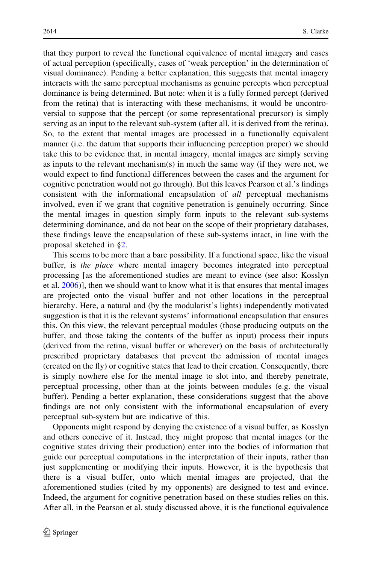that they purport to reveal the functional equivalence of mental imagery and cases of actual perception (specifically, cases of 'weak perception' in the determination of visual dominance). Pending a better explanation, this suggests that mental imagery interacts with the same perceptual mechanisms as genuine percepts when perceptual dominance is being determined. But note: when it is a fully formed percept (derived from the retina) that is interacting with these mechanisms, it would be uncontroversial to suppose that the percept (or some representational precursor) is simply serving as an input to the relevant sub-system (after all, it is derived from the retina). So, to the extent that mental images are processed in a functionally equivalent manner (i.e. the datum that supports their influencing perception proper) we should take this to be evidence that, in mental imagery, mental images are simply serving as inputs to the relevant mechanism(s) in much the same way (if they were not, we would expect to find functional differences between the cases and the argument for cognitive penetration would not go through). But this leaves Pearson et al.'s findings consistent with the informational encapsulation of all perceptual mechanisms involved, even if we grant that cognitive penetration is genuinely occurring. Since the mental images in question simply form inputs to the relevant sub-systems determining dominance, and do not bear on the scope of their proprietary databases, these findings leave the encapsulation of these sub-systems intact, in line with the proposal sketched in [§2](#page-2-0).

This seems to be more than a bare possibility. If a functional space, like the visual buffer, is *the place* where mental imagery becomes integrated into perceptual processing [as the aforementioned studies are meant to evince (see also: Kosslyn et al. [2006\)](#page-19-0)], then we should want to know what it is that ensures that mental images are projected onto the visual buffer and not other locations in the perceptual hierarchy. Here, a natural and (by the modularist's lights) independently motivated suggestion is that it is the relevant systems' informational encapsulation that ensures this. On this view, the relevant perceptual modules (those producing outputs on the buffer, and those taking the contents of the buffer as input) process their inputs (derived from the retina, visual buffer or wherever) on the basis of architecturally prescribed proprietary databases that prevent the admission of mental images (created on the fly) or cognitive states that lead to their creation. Consequently, there is simply nowhere else for the mental image to slot into, and thereby penetrate, perceptual processing, other than at the joints between modules (e.g. the visual buffer). Pending a better explanation, these considerations suggest that the above findings are not only consistent with the informational encapsulation of every perceptual sub-system but are indicative of this.

Opponents might respond by denying the existence of a visual buffer, as Kosslyn and others conceive of it. Instead, they might propose that mental images (or the cognitive states driving their production) enter into the bodies of information that guide our perceptual computations in the interpretation of their inputs, rather than just supplementing or modifying their inputs. However, it is the hypothesis that there is a visual buffer, onto which mental images are projected, that the aforementioned studies (cited by my opponents) are designed to test and evince. Indeed, the argument for cognitive penetration based on these studies relies on this. After all, in the Pearson et al. study discussed above, it is the functional equivalence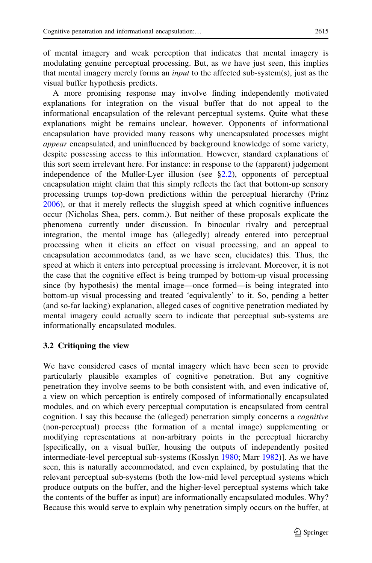<span id="page-16-0"></span>of mental imagery and weak perception that indicates that mental imagery is modulating genuine perceptual processing. But, as we have just seen, this implies that mental imagery merely forms an input to the affected sub-system(s), just as the visual buffer hypothesis predicts.

A more promising response may involve finding independently motivated explanations for integration on the visual buffer that do not appeal to the informational encapsulation of the relevant perceptual systems. Quite what these explanations might be remains unclear, however. Opponents of informational encapsulation have provided many reasons why unencapsulated processes might appear encapsulated, and uninfluenced by background knowledge of some variety, despite possessing access to this information. However, standard explanations of this sort seem irrelevant here. For instance: in response to the (apparent) judgement independence of the Muller-Lyer illusion (see  $\S 2.2$  $\S 2.2$ ), opponents of perceptual encapsulation might claim that this simply reflects the fact that bottom-up sensory processing trumps top-down predictions within the perceptual hierarchy (Prinz [2006\)](#page-20-0), or that it merely reflects the sluggish speed at which cognitive influences occur (Nicholas Shea, pers. comm.). But neither of these proposals explicate the phenomena currently under discussion. In binocular rivalry and perceptual integration, the mental image has (allegedly) already entered into perceptual processing when it elicits an effect on visual processing, and an appeal to encapsulation accommodates (and, as we have seen, elucidates) this. Thus, the speed at which it enters into perceptual processing is irrelevant. Moreover, it is not the case that the cognitive effect is being trumped by bottom-up visual processing since (by hypothesis) the mental image—once formed—is being integrated into bottom-up visual processing and treated 'equivalently' to it. So, pending a better (and so-far lacking) explanation, alleged cases of cognitive penetration mediated by mental imagery could actually seem to indicate that perceptual sub-systems are informationally encapsulated modules.

## 3.2 Critiquing the view

We have considered cases of mental imagery which have been seen to provide particularly plausible examples of cognitive penetration. But any cognitive penetration they involve seems to be both consistent with, and even indicative of, a view on which perception is entirely composed of informationally encapsulated modules, and on which every perceptual computation is encapsulated from central cognition. I say this because the (alleged) penetration simply concerns a cognitive (non-perceptual) process (the formation of a mental image) supplementing or modifying representations at non-arbitrary points in the perceptual hierarchy [specifically, on a visual buffer, housing the outputs of independently posited intermediate-level perceptual sub-systems (Kosslyn [1980](#page-19-0); Marr [1982](#page-20-0))]. As we have seen, this is naturally accommodated, and even explained, by postulating that the relevant perceptual sub-systems (both the low-mid level perceptual systems which produce outputs on the buffer, and the higher-level perceptual systems which take the contents of the buffer as input) are informationally encapsulated modules. Why? Because this would serve to explain why penetration simply occurs on the buffer, at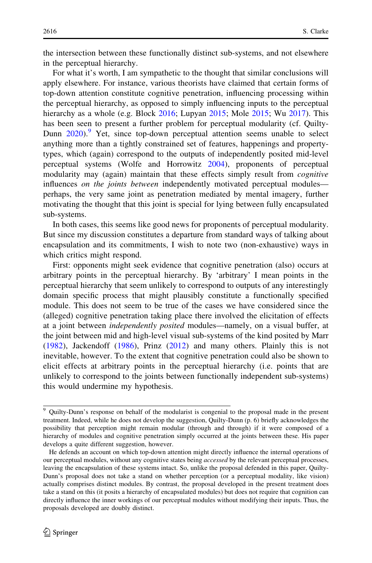the intersection between these functionally distinct sub-systems, and not elsewhere in the perceptual hierarchy.

For what it's worth, I am sympathetic to the thought that similar conclusions will apply elsewhere. For instance, various theorists have claimed that certain forms of top-down attention constitute cognitive penetration, influencing processing within the perceptual hierarchy, as opposed to simply influencing inputs to the perceptual hierarchy as a whole (e.g. Block [2016](#page-18-0); Lupyan [2015](#page-20-0); Mole [2015;](#page-20-0) Wu [2017](#page-21-0)). This has been seen to present a further problem for perceptual modularity (cf. Quilty-Dunn  $2020$ .  $9$  Yet, since top-down perceptual attention seems unable to select anything more than a tightly constrained set of features, happenings and propertytypes, which (again) correspond to the outputs of independently posited mid-level perceptual systems (Wolfe and Horrowitz [2004\)](#page-21-0), proponents of perceptual modularity may (again) maintain that these effects simply result from *cognitive* influences on the joints between independently motivated perceptual modules perhaps, the very same joint as penetration mediated by mental imagery, further motivating the thought that this joint is special for lying between fully encapsulated sub-systems.

In both cases, this seems like good news for proponents of perceptual modularity. But since my discussion constitutes a departure from standard ways of talking about encapsulation and its commitments, I wish to note two (non-exhaustive) ways in which critics might respond.

First: opponents might seek evidence that cognitive penetration (also) occurs at arbitrary points in the perceptual hierarchy. By 'arbitrary' I mean points in the perceptual hierarchy that seem unlikely to correspond to outputs of any interestingly domain specific process that might plausibly constitute a functionally specified module. This does not seem to be true of the cases we have considered since the (alleged) cognitive penetration taking place there involved the elicitation of effects at a joint between independently posited modules—namely, on a visual buffer, at the joint between mid and high-level visual sub-systems of the kind posited by Marr [\(1982](#page-20-0)), Jackendoff ([1986\)](#page-19-0), Prinz ([2012\)](#page-20-0) and many others. Plainly this is not inevitable, however. To the extent that cognitive penetration could also be shown to elicit effects at arbitrary points in the perceptual hierarchy (i.e. points that are unlikely to correspond to the joints between functionally independent sub-systems) this would undermine my hypothesis.

<sup>&</sup>lt;sup>9</sup> Quilty-Dunn's response on behalf of the modularist is congenial to the proposal made in the present treatment. Indeed, while he does not develop the suggestion, Quilty-Dunn (p. 6) briefly acknowledges the possibility that perception might remain modular (through and through) if it were composed of a hierarchy of modules and cognitive penetration simply occurred at the joints between these. His paper develops a quite different suggestion, however.

He defends an account on which top-down attention might directly influence the internal operations of our perceptual modules, without any cognitive states being *accessed* by the relevant perceptual processes, leaving the encapsulation of these systems intact. So, unlike the proposal defended in this paper, Quilty-Dunn's proposal does not take a stand on whether perception (or a perceptual modality, like vision) actually comprises distinct modules. By contrast, the proposal developed in the present treatment does take a stand on this (it posits a hierarchy of encapsulated modules) but does not require that cognition can directly influence the inner workings of our perceptual modules without modifying their inputs. Thus, the proposals developed are doubly distinct.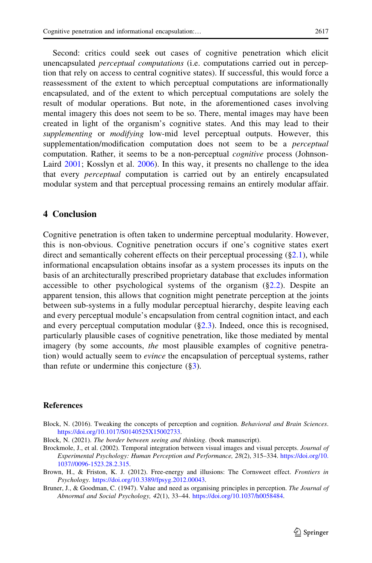<span id="page-18-0"></span>Second: critics could seek out cases of cognitive penetration which elicit unencapsulated perceptual computations (i.e. computations carried out in perception that rely on access to central cognitive states). If successful, this would force a reassessment of the extent to which perceptual computations are informationally encapsulated, and of the extent to which perceptual computations are solely the result of modular operations. But note, in the aforementioned cases involving mental imagery this does not seem to be so. There, mental images may have been created in light of the organism's cognitive states. And this may lead to their supplementing or modifying low-mid level perceptual outputs. However, this supplementation/modification computation does not seem to be a *perceptual* computation. Rather, it seems to be a non-perceptual *cognitive* process (Johnson-Laird [2001](#page-19-0); Kosslyn et al. [2006](#page-19-0)). In this way, it presents no challenge to the idea that every perceptual computation is carried out by an entirely encapsulated modular system and that perceptual processing remains an entirely modular affair.

## 4 Conclusion

Cognitive penetration is often taken to undermine perceptual modularity. However, this is non-obvious. Cognitive penetration occurs if one's cognitive states exert direct and semantically coherent effects on their perceptual processing  $(\S$ 2.1), while informational encapsulation obtains insofar as a system processes its inputs on the basis of an architecturally prescribed proprietary database that excludes information accessible to other psychological systems of the organism  $(\S2.2)$  $(\S2.2)$  $(\S2.2)$ . Despite an apparent tension, this allows that cognition might penetrate perception at the joints between sub-systems in a fully modular perceptual hierarchy, despite leaving each and every perceptual module's encapsulation from central cognition intact, and each and every perceptual computation modular  $(\S2.3)$  $(\S2.3)$  $(\S2.3)$ . Indeed, once this is recognised, particularly plausible cases of cognitive penetration, like those mediated by mental imagery (by some accounts, *the* most plausible examples of cognitive penetration) would actually seem to *evince* the encapsulation of perceptual systems, rather than refute or undermine this conjecture  $(\S_3)$ .

#### **References**

- Block, N. (2016). Tweaking the concepts of perception and cognition. Behavioral and Brain Sciences. [https://doi.org/10.1017/S0140525X15002733.](https://doi.org/10.1017/S0140525X15002733)
- Block, N. (2021). The border between seeing and thinking. (book manuscript).
- Brockmole, J., et al. (2002). Temporal integration between visual images and visual percepts. Journal of Experimental Psychology: Human Perception and Performance, 28(2), 315–334. [https://doi.org/10.](https://doi.org/10.1037//0096-1523.28.2.315) [1037//0096-1523.28.2.315.](https://doi.org/10.1037//0096-1523.28.2.315)
- Brown, H., & Friston, K. J. (2012). Free-energy and illusions: The Cornsweet effect. Frontiers in Psychology. <https://doi.org/10.3389/fpsyg.2012.00043>.
- Bruner, J., & Goodman, C. (1947). Value and need as organising principles in perception. The Journal of Abnormal and Social Psychology, 42(1), 33–44. <https://doi.org/10.1037/h0058484>.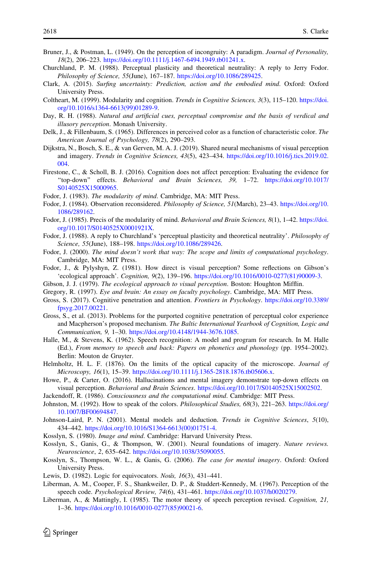- <span id="page-19-0"></span>Bruner, J., & Postman, L. (1949). On the perception of incongruity: A paradigm. Journal of Personality, 18(2), 206–223. <https://doi.org/10.1111/j.1467-6494.1949.tb01241.x>.
- Churchland, P. M. (1988). Perceptual plasticity and theoretical neutrality: A reply to Jerry Fodor. Philosophy of Science, 55(June), 167–187. <https://doi.org/10.1086/289425>.
- Clark, A. (2015). Surfing uncertainty: Prediction, action and the embodied mind. Oxford: Oxford University Press.
- Coltheart, M. (1999). Modularity and cognition. Trends in Cognitive Sciences, 3(3), 115–120. [https://doi.](https://doi.org/10.1016/s1364-6613(99)01289-9) [org/10.1016/s1364-6613\(99\)01289-9](https://doi.org/10.1016/s1364-6613(99)01289-9).
- Day, R. H. (1988). Natural and artificial cues, perceptual compromise and the basis of verdical and illusory perception. Monash University.
- Delk, J., & Fillenbaum, S. (1965). Differences in perceived color as a function of characteristic color. The American Journal of Psychology, 78(2), 290–293.
- Dijkstra, N., Bosch, S. E., & van Gerven, M. A. J. (2019). Shared neural mechanisms of visual perception and imagery. Trends in Cognitive Sciences, 43(5), 423–434. [https://doi.org/10.1016/j.tics.2019.02.](https://doi.org/10.1016/j.tics.2019.02.004) [004.](https://doi.org/10.1016/j.tics.2019.02.004)
- Firestone, C., & Scholl, B. J. (2016). Cognition does not affect perception: Evaluating the evidence for ''top-down'' effects. Behavioral and Brain Sciences, 39, 1–72. [https://doi.org/10.1017/](https://doi.org/10.1017/S0140525X15000965) [S0140525X15000965.](https://doi.org/10.1017/S0140525X15000965)
- Fodor, J. (1983). The modularity of mind. Cambridge, MA: MIT Press.
- Fodor, J. (1984). Observation reconsidered. Philosophy of Science, 51(March), 23–43. [https://doi.org/10.](https://doi.org/10.1086/289162) [1086/289162.](https://doi.org/10.1086/289162)
- Fodor, J. (1985). Precis of the modularity of mind. Behavioral and Brain Sciences, 8(1), 1–42. [https://doi.](https://doi.org/10.1017/S0140525X0001921X) [org/10.1017/S0140525X0001921X](https://doi.org/10.1017/S0140525X0001921X).
- Fodor, J. (1988). A reply to Churchland's 'perceptual plasticity and theoretical neutrality'. Philosophy of Science, 55(June), 188–198. <https://doi.org/10.1086/289426>.
- Fodor, J. (2000). The mind doesn't work that way: The scope and limits of computational psychology. Cambridge, MA: MIT Press.
- Fodor, J., & Pylyshyn, Z. (1981). How direct is visual perception? Some reflections on Gibson's 'ecological approach'. Cognition, 9(2), 139–196. [https://doi.org/10.1016/0010-0277\(81\)90009-3.](https://doi.org/10.1016/0010-0277(81)90009-3)
- Gibson, J. J. (1979). The ecological approach to visual perception. Boston: Houghton Mifflin.
- Gregory, R. (1997). Eye and brain: An essay on faculty psychology. Cambridge, MA: MIT Press.
- Gross, S. (2017). Cognitive penetration and attention. Frontiers in Psychology. [https://doi.org/10.3389/](https://doi.org/10.3389/fpsyg.2017.00221) [fpsyg.2017.00221](https://doi.org/10.3389/fpsyg.2017.00221).
- Gross, S., et al. (2013). Problems for the purported cognitive penetration of perceptual color experience and Macpherson's proposed mechanism. The Baltic International Yearbook of Cognition, Logic and Communication, 9, 1–30. <https://doi.org/10.4148/1944-3676.1085>.
- Halle, M., & Stevens, K. (1962). Speech recognition: A model and program for research. In M. Halle (Ed.), From memory to speech and back: Papers on phonetics and phonology (pp. 1954–2002). Berlin: Mouton de Gruyter.
- Helmholtz, H. L. F. (1876). On the limits of the optical capacity of the microscope. Journal of Microscopy, 16(1), 15–39. <https://doi.org/10.1111/j.1365-2818.1876.tb05606.x>.
- Howe, P., & Carter, O. (2016). Hallucinations and mental imagery demonstrate top-down effects on visual perception. Behavioral and Brain Sciences. [https://doi.org/10.1017/S0140525X15002502.](https://doi.org/10.1017/S0140525X15002502)
- Jackendoff, R. (1986). Consciousness and the computational mind. Cambridge: MIT Press.
- Johnston, M. (1992). How to speak of the colors. Philosophical Studies, 68(3), 221–263. [https://doi.org/](https://doi.org/10.1007/BF00694847) [10.1007/BF00694847.](https://doi.org/10.1007/BF00694847)
- Johnson-Laird, P. N. (2001). Mental models and deduction. Trends in Cognitive Sciences, 5(10), 434–442. [https://doi.org/10.1016/S1364-6613\(00\)01751-4](https://doi.org/10.1016/S1364-6613(00)01751-4).
- Kosslyn, S. (1980). Image and mind. Cambridge: Harvard University Press.
- Kosslyn, S., Ganis, G., & Thompson, W. (2001). Neural foundations of imagery. Nature reviews. Neuroscience, 2, 635–642. <https://doi.org/10.1038/35090055>.
- Kosslyn, S., Thompson, W. L., & Ganis, G. (2006). The case for mental imagery. Oxford: Oxford University Press.
- Lewis, D. (1982). Logic for equivocators. *Noûs*, 16(3), 431–441.
- Liberman, A. M., Cooper, F. S., Shankweiler, D. P., & Studdert-Kennedy, M. (1967). Perception of the speech code. Psychological Review, 74(6), 431–461. <https://doi.org/10.1037/h0020279>.
- Liberman, A., & Mattingly, I. (1985). The motor theory of speech perception revised. Cognition, 21, 1–36. [https://doi.org/10.1016/0010-0277\(85\)90021-6.](https://doi.org/10.1016/0010-0277(85)90021-6)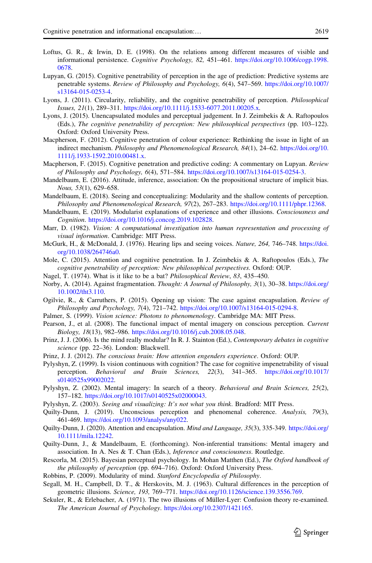- <span id="page-20-0"></span>Loftus, G. R., & Irwin, D. E. (1998). On the relations among different measures of visible and informational persistence. Cognitive Psychology, 82, 451–461. [https://doi.org/10.1006/cogp.1998.](https://doi.org/10.1006/cogp.1998.0678) [0678.](https://doi.org/10.1006/cogp.1998.0678)
- Lupyan, G. (2015). Cognitive penetrability of perception in the age of prediction: Predictive systems are penetrable systems. Review of Philosophy and Psychology, 6(4), 547–569. [https://doi.org/10.1007/](https://doi.org/10.1007/s13164-015-0253-4) [s13164-015-0253-4.](https://doi.org/10.1007/s13164-015-0253-4)
- Lyons, J. (2011). Circularity, reliability, and the cognitive penetrability of perception. Philosophical Issues, 21(1), 289–311. [https://doi.org/10.1111/j.1533-6077.2011.00205.x.](https://doi.org/10.1111/j.1533-6077.2011.00205.x)
- Lyons, J. (2015). Unencapsulated modules and perceptual judgement. In J. Zeimbekis & A. Raftopoulos (Eds.), The cognitive penetrability of perception: New philosophical perspectives (pp. 103–122). Oxford: Oxford University Press.
- Macpherson, F. (2012). Cognitive penetration of colour experience: Rethinking the issue in light of an indirect mechanism. Philosophy and Phenomenological Research, 84(1), 24–62. [https://doi.org/10.](https://doi.org/10.1111/j.1933-1592.2010.00481.x) [1111/j.1933-1592.2010.00481.x.](https://doi.org/10.1111/j.1933-1592.2010.00481.x)
- Macpherson, F. (2015). Cognitive penetration and predictive coding: A commentary on Lupyan. Review of Philosophy and Psychology, 6(4), 571–584. [https://doi.org/10.1007/s13164-015-0254-3.](https://doi.org/10.1007/s13164-015-0254-3)
- Mandelbaum, E. (2016). Attitude, inference, association: On the propositional structure of implicit bias. Nous, 53(1), 629–658.
- Mandelbaum, E. (2018). Seeing and conceptualizing: Modularity and the shallow contents of perception. Philosophy and Phenomenological Research, 97(2), 267–283. [https://doi.org/10.1111/phpr.12368.](https://doi.org/10.1111/phpr.12368)
- Mandelbaum, E. (2019). Modularist explanations of experience and other illusions. Consciousness and Cognition. [https://doi.org/10.1016/j.concog.2019.102828.](https://doi.org/10.1016/j.concog.2019.102828)
- Marr, D. (1982). Vision: A computational investigation into human representation and processing of visual information. Cambridge: MIT Press.
- McGurk, H., & McDonald, J. (1976). Hearing lips and seeing voices. Nature, 264, 746–748. [https://doi.](https://doi.org/10.1038/264746a0) [org/10.1038/264746a0](https://doi.org/10.1038/264746a0).
- Mole, C. (2015). Attention and cognitive penetration. In J. Zeimbekis & A. Raftopoulos (Eds.), The cognitive penetrability of perception: New philosophical perspectives. Oxford: OUP.
- Nagel, T. (1974). What is it like to be a bat? Philosophical Review, 83, 435–450.
- Norby, A. (2014). Against fragmentation. Thought: A Journal of Philosophy, 3(1), 30–38. [https://doi.org/](https://doi.org/10.1002/tht3.110) [10.1002/tht3.110](https://doi.org/10.1002/tht3.110).
- Ogilvie, R., & Carruthers, P. (2015). Opening up vision: The case against encapsulation. Review of Philosophy and Psychology, 7(4), 721–742. [https://doi.org/10.1007/s13164-015-0294-8.](https://doi.org/10.1007/s13164-015-0294-8)
- Palmer, S. (1999). Vision science: Photons to phenomenology. Cambridge MA: MIT Press.
- Pearson, J., et al. (2008). The functional impact of mental imagery on conscious perception. Current Biology, 18(13), 982–986. [https://doi.org/10.1016/j.cub.2008.05.048.](https://doi.org/10.1016/j.cub.2008.05.048)
- Prinz, J. J. (2006). Is the mind really modular? In R. J. Stainton (Ed.), Contemporary debates in cognitive science (pp. 22–36). London: Blackwell.
- Prinz, J. J. (2012). The conscious brain: How attention engenders experience. Oxford: OUP.
- Pylyshyn, Z. (1999). Is vision continuous with cognition? The case for cognitive impenetrability of visual perception. Behavioral and Brain Sciences, 22(3), 341–365. [https://doi.org/10.1017/](https://doi.org/10.1017/s0140525x99002022) [s0140525x99002022.](https://doi.org/10.1017/s0140525x99002022)
- Pylyshyn, Z. (2002). Mental imagery: In search of a theory. Behavioral and Brain Sciences, 25(2), 157–182. <https://doi.org/10.1017/s0140525x02000043>.
- Pylyshyn, Z. (2003). Seeing and visualizing: It's not what you think. Bradford: MIT Press.
- Quilty-Dunn, J. (2019). Unconscious perception and phenomenal coherence. Analysis, 79(3), 461-469. <https://doi.org/10.1093/analys/any022>.
- Quilty-Dunn, J. (2020). Attention and encapsulation. Mind and Language, 35(3), 335-349. [https://doi.org/](https://doi.org/10.1111/mila.12242) [10.1111/mila.12242](https://doi.org/10.1111/mila.12242).
- Quilty-Dunn, J., & Mandelbaum, E. (forthcoming). Non-inferential transitions: Mental imagery and association. In A. Nes & T. Chan (Eds.), Inference and consciousness. Routledge.
- Rescorla, M. (2015). Bayesian perceptual psychology. In Mohan Matthen (Ed.), The Oxford handbook of the philosophy of perception (pp. 694–716). Oxford: Oxford University Press.
- Robbins, P. (2009). Modularity of mind. Stanford Encyclopedia of Philosophy.
- Segall, M. H., Campbell, D. T., & Herskovits, M. J. (1963). Cultural differences in the perception of geometric illusions. Science, 193, 769–771. [https://doi.org/10.1126/science.139.3556.769.](https://doi.org/10.1126/science.139.3556.769)
- Sekuler, R., & Erlebacher, A. (1971). The two illusions of Müller-Lyer: Confusion theory re-examined. The American Journal of Psychology. [https://doi.org/10.2307/1421165.](https://doi.org/10.2307/1421165)